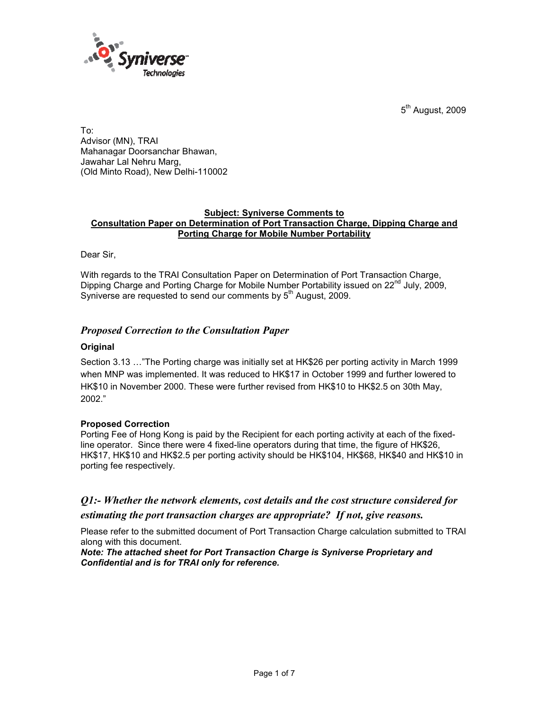$5<sup>th</sup>$  August, 2009



To: Advisor (MN), TRAI Mahanagar Doorsanchar Bhawan, Jawahar Lal Nehru Marg, (Old Minto Road), New Delhi-110002

#### Subject: Syniverse Comments to Consultation Paper on Determination of Port Transaction Charge, Dipping Charge and Porting Charge for Mobile Number Portability

Dear Sir,

With regards to the TRAI Consultation Paper on Determination of Port Transaction Charge, Dipping Charge and Porting Charge for Mobile Number Portability issued on 22<sup>nd</sup> July, 2009, Syniverse are requested to send our comments by 5<sup>th</sup> August, 2009.

### Proposed Correction to the Consultation Paper

#### **Original**

Section 3.13 …"The Porting charge was initially set at HK\$26 per porting activity in March 1999 when MNP was implemented. It was reduced to HK\$17 in October 1999 and further lowered to HK\$10 in November 2000. These were further revised from HK\$10 to HK\$2.5 on 30th May, 2002."

#### Proposed Correction

Porting Fee of Hong Kong is paid by the Recipient for each porting activity at each of the fixedline operator. Since there were 4 fixed-line operators during that time, the figure of HK\$26, HK\$17, HK\$10 and HK\$2.5 per porting activity should be HK\$104, HK\$68, HK\$40 and HK\$10 in porting fee respectively.

#### Q1:- Whether the network elements, cost details and the cost structure considered for

estimating the port transaction charges are appropriate? If not, give reasons.

Please refer to the submitted document of Port Transaction Charge calculation submitted to TRAI along with this document.

Note: The attached sheet for Port Transaction Charge is Syniverse Proprietary and Confidential and is for TRAI only for reference.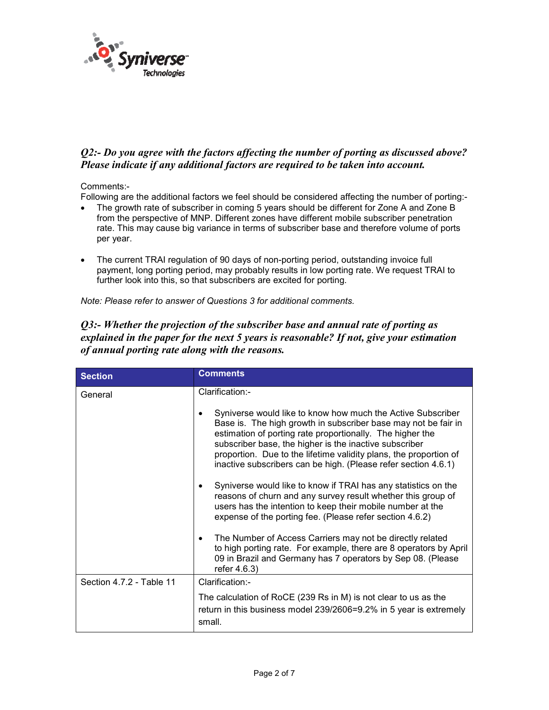

# Q2:- Do you agree with the factors affecting the number of porting as discussed above? Please indicate if any additional factors are required to be taken into account.

#### Comments:-

Following are the additional factors we feel should be considered affecting the number of porting:-

- The growth rate of subscriber in coming 5 years should be different for Zone A and Zone B from the perspective of MNP. Different zones have different mobile subscriber penetration rate. This may cause big variance in terms of subscriber base and therefore volume of ports per year.
- The current TRAI regulation of 90 days of non-porting period, outstanding invoice full payment, long porting period, may probably results in low porting rate. We request TRAI to further look into this, so that subscribers are excited for porting.

Note: Please refer to answer of Questions 3 for additional comments.

# Q3:- Whether the projection of the subscriber base and annual rate of porting as explained in the paper for the next 5 years is reasonable? If not, give your estimation of annual porting rate along with the reasons.

| <b>Section</b>           | <b>Comments</b>                                                                                                                                                                                                                                                                                                                                                                             |
|--------------------------|---------------------------------------------------------------------------------------------------------------------------------------------------------------------------------------------------------------------------------------------------------------------------------------------------------------------------------------------------------------------------------------------|
| General                  | Clarification:-                                                                                                                                                                                                                                                                                                                                                                             |
|                          | Syniverse would like to know how much the Active Subscriber<br>Base is. The high growth in subscriber base may not be fair in<br>estimation of porting rate proportionally. The higher the<br>subscriber base, the higher is the inactive subscriber<br>proportion. Due to the lifetime validity plans, the proportion of<br>inactive subscribers can be high. (Please refer section 4.6.1) |
|                          | Syniverse would like to know if TRAI has any statistics on the<br>٠<br>reasons of churn and any survey result whether this group of<br>users has the intention to keep their mobile number at the<br>expense of the porting fee. (Please refer section 4.6.2)                                                                                                                               |
|                          | The Number of Access Carriers may not be directly related<br>٠<br>to high porting rate. For example, there are 8 operators by April<br>09 in Brazil and Germany has 7 operators by Sep 08. (Please<br>refer $4.6.3$ )                                                                                                                                                                       |
| Section 4.7.2 - Table 11 | Clarification:-                                                                                                                                                                                                                                                                                                                                                                             |
|                          | The calculation of RoCE (239 Rs in M) is not clear to us as the<br>return in this business model 239/2606=9.2% in 5 year is extremely<br>small.                                                                                                                                                                                                                                             |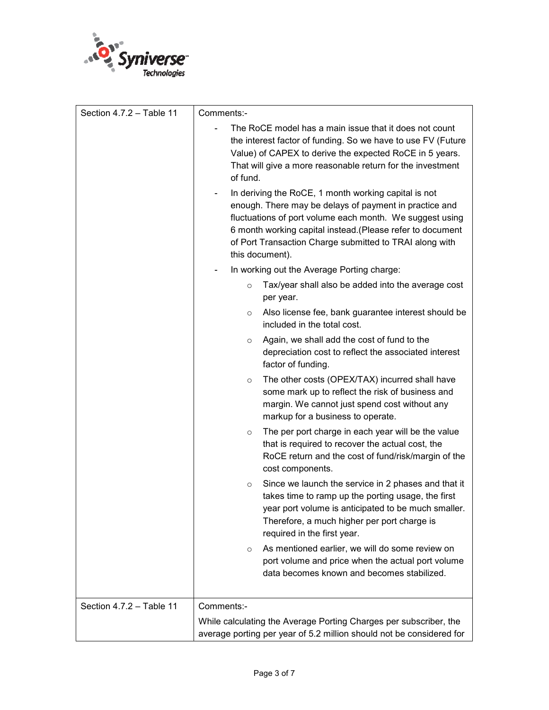

| Section 4.7.2 - Table 11 | Comments:-                                                                                                                                                                                                                                                                                                                                                                    |
|--------------------------|-------------------------------------------------------------------------------------------------------------------------------------------------------------------------------------------------------------------------------------------------------------------------------------------------------------------------------------------------------------------------------|
|                          | The RoCE model has a main issue that it does not count<br>the interest factor of funding. So we have to use FV (Future<br>Value) of CAPEX to derive the expected RoCE in 5 years.<br>That will give a more reasonable return for the investment<br>of fund.<br>In deriving the RoCE, 1 month working capital is not<br>enough. There may be delays of payment in practice and |
|                          | fluctuations of port volume each month. We suggest using<br>6 month working capital instead. (Please refer to document<br>of Port Transaction Charge submitted to TRAI along with<br>this document).                                                                                                                                                                          |
|                          | In working out the Average Porting charge:                                                                                                                                                                                                                                                                                                                                    |
|                          | Tax/year shall also be added into the average cost<br>$\circ$<br>per year.                                                                                                                                                                                                                                                                                                    |
|                          | Also license fee, bank guarantee interest should be<br>$\circ$<br>included in the total cost.                                                                                                                                                                                                                                                                                 |
|                          | Again, we shall add the cost of fund to the<br>$\circ$<br>depreciation cost to reflect the associated interest<br>factor of funding.                                                                                                                                                                                                                                          |
|                          | The other costs (OPEX/TAX) incurred shall have<br>$\circ$<br>some mark up to reflect the risk of business and<br>margin. We cannot just spend cost without any<br>markup for a business to operate.                                                                                                                                                                           |
|                          | The per port charge in each year will be the value<br>$\circ$<br>that is required to recover the actual cost, the<br>RoCE return and the cost of fund/risk/margin of the<br>cost components.                                                                                                                                                                                  |
|                          | Since we launch the service in 2 phases and that it<br>$\circ$<br>takes time to ramp up the porting usage, the first<br>year port volume is anticipated to be much smaller.<br>Therefore, a much higher per port charge is<br>required in the first year.                                                                                                                     |
|                          | As mentioned earlier, we will do some review on<br>$\circ$<br>port volume and price when the actual port volume<br>data becomes known and becomes stabilized.                                                                                                                                                                                                                 |
| Section 4.7.2 - Table 11 | Comments:-                                                                                                                                                                                                                                                                                                                                                                    |
|                          | While calculating the Average Porting Charges per subscriber, the<br>average porting per year of 5.2 million should not be considered for                                                                                                                                                                                                                                     |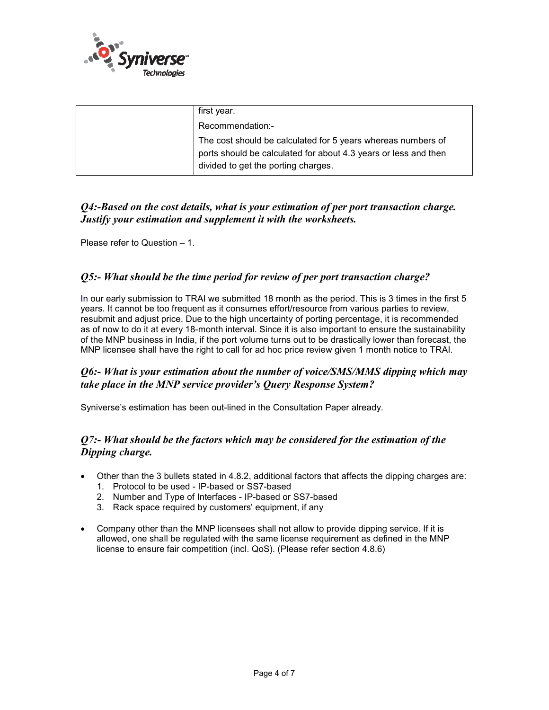

| first year.                                                                                                                                                            |
|------------------------------------------------------------------------------------------------------------------------------------------------------------------------|
| Recommendation:-                                                                                                                                                       |
| The cost should be calculated for 5 years whereas numbers of<br>ports should be calculated for about 4.3 years or less and then<br>divided to get the porting charges. |

# Q4:-Based on the cost details, what is your estimation of per port transaction charge. Justify your estimation and supplement it with the worksheets.

Please refer to Question – 1.

# Q5:- What should be the time period for review of per port transaction charge?

In our early submission to TRAI we submitted 18 month as the period. This is 3 times in the first 5 years. It cannot be too frequent as it consumes effort/resource from various parties to review, resubmit and adjust price. Due to the high uncertainty of porting percentage, it is recommended as of now to do it at every 18-month interval. Since it is also important to ensure the sustainability of the MNP business in India, if the port volume turns out to be drastically lower than forecast, the MNP licensee shall have the right to call for ad hoc price review given 1 month notice to TRAI.

# Q6:- What is your estimation about the number of voice/SMS/MMS dipping which may take place in the MNP service provider's Query Response System?

Syniverse's estimation has been out-lined in the Consultation Paper already.

# Q7:- What should be the factors which may be considered for the estimation of the Dipping charge.

- Other than the 3 bullets stated in 4.8.2, additional factors that affects the dipping charges are:
	- 1. Protocol to be used IP-based or SS7-based
	- 2. Number and Type of Interfaces IP-based or SS7-based
	- 3. Rack space required by customers' equipment, if any
- Company other than the MNP licensees shall not allow to provide dipping service. If it is allowed, one shall be regulated with the same license requirement as defined in the MNP license to ensure fair competition (incl. QoS). (Please refer section 4.8.6)